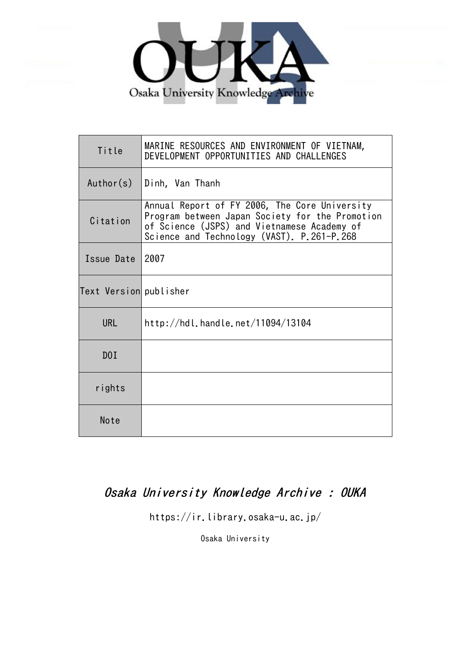

| Title                  | MARINE RESOURCES AND ENVIRONMENT OF VIETNAM,<br>DEVELOPMENT OPPORTUNITIES AND CHALLENGES                                                                                                      |
|------------------------|-----------------------------------------------------------------------------------------------------------------------------------------------------------------------------------------------|
| Author(s)              | Dinh, Van Thanh                                                                                                                                                                               |
| Citation               | Annual Report of FY 2006, The Core University<br>Program between Japan Society for the Promotion<br>of Science (JSPS) and Vietnamese Academy of<br>Science and Technology (VAST). P.261-P.268 |
| Issue Date             | 2007                                                                                                                                                                                          |
| Text Version publisher |                                                                                                                                                                                               |
| <b>URL</b>             | http://hdl.handle.net/11094/13104                                                                                                                                                             |
| D0I                    |                                                                                                                                                                                               |
| rights                 |                                                                                                                                                                                               |
| Note                   |                                                                                                                                                                                               |

# Osaka University Knowledge Archive : OUKA

https://ir.library.osaka-u.ac.jp/

Osaka University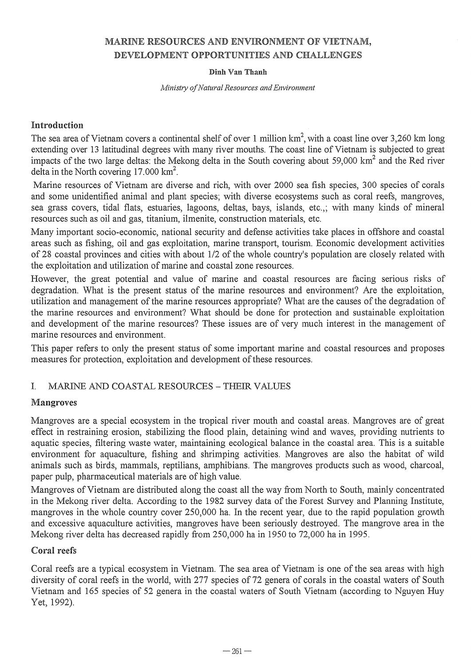# MARINE RESOURCES AND ENVIRONMENT OF VIETNAM, DEVELOPMENT OPPORTUNITIES AND CHALLENGES

#### Dinh Van Thanh

*A1inistry a/Natural Resources and Environment* 

#### Introduction

The sea area of Vietnam covers a continental shelf of over 1 million  $km^2$ , with a coast line over 3,260 km long extending over 13 latitudinal degrees with many river mouths. The coast line of Vietnam is subjected to great impacts of the two large deltas: the Mekong delta in the South covering about 59,000 km<sup>2</sup> and the Red river delta in the North covering  $17.000 \text{ km}^2$ .

Marine resources of Vietnam are diverse and rich, with over 2000 sea fish species, 300 species of corals and some unidentified animal and plant species; with diverse ecosystems such as coral reefs, mangroves, sea grass covers, tidal flats, estuaries, lagoons, deltas, bays, islands, etc.,; with many kinds of mineral resources such as oil and gas, titanium, ilmenite, construction materials, etc.

Many important socio-economic, national security and defense activities take places in offshore and coastal areas such as fishing, oil and gas exploitation, marine transport, tourism. Economic development activities of 28 coastal provinces and cities with about 1/2 of the whole country's population are closely related with the exploitation and utilization of marine and coastal zone resources.

However, the great potential and value of marine and coastal resources are facing serious risks of degradation. What is the present status of the marine resources and environment? Are the exploitation, utilization and management of the marine resources appropriate? What are the causes of the degradation of the marine resources and environment? What should be done for protection and sustainable exploitation and development of the marine resources? These issues are of very much interest in the management of marine resources and environment.

This paper refers to only the present status of some important marine and coastal resources and proposes measures for protection, exploitation and development of these resources.

## I. MARINE AND COASTAL RESOURCES - THEIR VALUES

#### Mangroves

Mangroves are a special ecosystem in the tropical river mouth and coastal areas. Mangroves are of great effect in restraining erosion, stabilizing the flood plain, detaining wind and waves, providing nutrients to aquatic species, filtering waste water, maintaining ecological balance in the coastal area. This is a suitable environment for aquaculture, fishing and shrimping activities. Mangroves are also the habitat of wild animals such as birds, mammals, reptilians, amphibians. The mangroves products such as wood, charcoal, paper pulp, pharmaceutical materials are of high value.

Mangroves of Vietnam are distributed along the coast all the way from North to South, mainly concentrated in the Mekong river delta. According to the 1982 survey data of the Forest Survey and Planning Institute, mangroves in the whole country cover 250,000 ha. In the recent year, due to the rapid population growth and excessive aquaculture activities, mangroves have been seriously destroyed. The mangrove area in the Mekong river delta has decreased rapidly from 250,000 ha in 1950 to 72,000 ha in 1995.

#### Coral reefs

Coral reefs are a typical ecosystem in Vietnam. The sea area of Vietnam is one of the sea areas with high diversity of coral reefs in the world, with 277 species of 72 genera of corals in the coastal waters of South Vietnam and 165 species of 52 genera in the coastal waters of South Vietnam (according to Nguyen Huy Yet, 1992).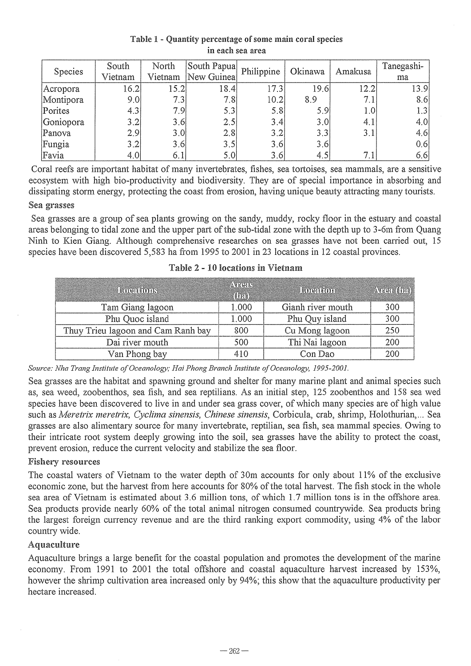#### Table 1 - Quantity percentage of some main coral species in each sea area

| Species   | South   | North   | South Papua | Philippine | Okinawa | Amakusa | Tanegashi- |
|-----------|---------|---------|-------------|------------|---------|---------|------------|
|           | Vietnam | Vietnam | New Guinea  |            |         |         | ma         |
| Acropora  | 16.2    | 15.21   | 18.4        | 17.3       | 19.6    | 12.2    | 13.9       |
| Montipora | 9.0     | 7.3     | 7.8         | 10.2       | 8.9     | 7.1     | 8.6        |
| Porites   | 4.3     | 7.9     | 5.3         | 5.8        | 5.9     | $1.0\,$ | 1.3        |
| Goniopora | 3.2     | 3.6     | 2.5         | 3.4        | 3.0     | 4.1     | 4.0        |
| Panova    | 2.9     | 3.0     | 2.8         | $3.2^{1}$  | 3.3     | 3.1     | 4.6        |
| Fungia    | 3.2     | 3.6     | 3.5         | 3.6        | 3.6     |         | 0.6        |
| Favia     | 4.0     | 6.1     | 5.0         | 3.6        | 4,5     | 7.1     | 6, 6       |

Coral reefs are important habitat of many invertebrates, fishes, sea tortoises, sea mammals, are a sensitive ecosystem with high bio-productivity and biodiversity. They are of special importance in absorbing and dissipating storm energy, protecting the coast from erosion, having unique beauty attracting many tourists.

#### Sea grasses

Sea grasses are a group of sea plants growing on the sandy, muddy, rocky floor in the estuary and coastal areas belonging to tidal zone and the upper part of the sub-tidal zone with the depth up to 3-6m from Quang Ninh to Kien Giang. Although comprehensive researches on sea grasses have not been carried out, 15 species have been discovered 5,583 ha from 1995 to 2001 in 23 locations in 12 coastal provinces.

| Locations                          | AVRUIN<br>$(h_4)$ | Location          | Area (ha) |
|------------------------------------|-------------------|-------------------|-----------|
| Tam Giang lagoon                   | 1.000             | Gianh river mouth | 300       |
| Phu Quoc island                    | 1.000             | Phu Quy island    | 300       |
| Thuy Trieu lagoon and Cam Ranh bay | 800               | Cu Mong lagoon    | 250       |
| Dai river mouth                    | 500               | Thi Nai lagoon    | 200       |
| Van Phong bay                      | 410               | Con Dao           | 200       |

#### Table 2 - 10 locations in Vietnam

*Source: Nha Trang Institute o/Oceanology; Hai Phong Branch Institute o/Oceanology, 1995-2001.* 

Sea grasses are the habitat and spawning ground and shelter for many marine plant and animal species such as, sea weed, zoobenthos, sea fish, and sea reptilians. As an initial step, 125 zoobenthos and 158 sea wed species have been discovered to live in and under sea grass cover, of which many species are of high value such as *Meretrix meretrix, Cyclima sinensis, Chinese sinensis,* Corbicula, crab, shrimp, Holothurian, ... Sea grasses are also alimentary source for many invertebrate, reptilian, sea fish, sea mammal species. Owing to their intricate root system deeply growing into the soil, sea grasses have the ability to protect the coast, prevent erosion, reduce the current velocity and stabilize the sea floor.

#### Fishery resources

The coastal waters of Vietnam to the water depth of 30m accounts for only about 11% of the exclusive economic zone, but the harvest from here accounts for 80% of the total harvest. The fish stock in the whole sea area of Vietnam is estimated about 3.6 million tons, of which 1. 7 million tons is in the offshore area. Sea products provide nearly 60% of the total animal nitrogen consumed countrywide. Sea products bring the largest foreign currency revenue and are the third ranking export commodity, using 4% of the labor country wide.

#### Aquaculture

Aquaculture brings a large benefit for the coastal population and promotes the development of the marine economy. From 1991 to 2001 the total offshore and coastal aquaculture harvest increased by 153%, however the shrimp cultivation area increased only by 94%; this show that the aquaculture productivity per hectare increased.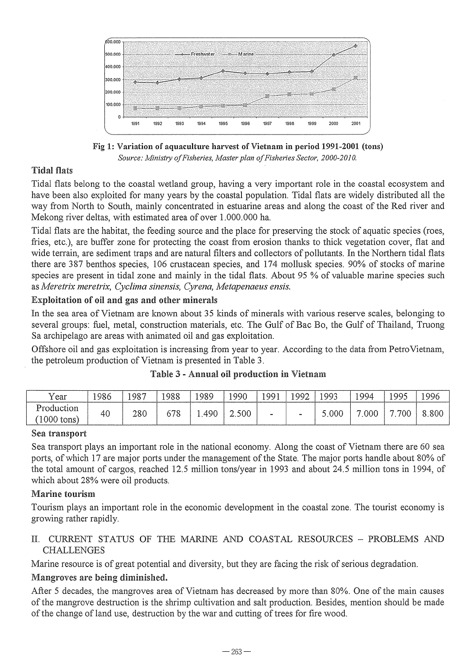

Fig 1: Variation of aquaculture harvest of Vietnam in period 1991-2001 (tons) *Source: Ministry a/Fisheries, Master plan a/Fisheries Sector, 2000·2010.* 

# Tidal flats

Tidal flats belong to the coastal wetland group, having a very important role in the coastal ecosystem and have been also exploited for many years by the coastal population. Tidal flats are widely distributed all the way from North to South, mainly concentrated in estuarine areas and along the coast of the Red river and Mekong river deltas, with estimated area of over 1.000.000 ha.

Tidal flats are the habitat, the feeding source and the place for preserving the stock of aquatic species (roes, fries, etc.), are buffer zone for protecting the coast from erosion thanks to thick vegetation cover, flat and wide terrain, are sediment traps and are natural filters and collectors of pollutants. In the Northern tidal flats there are 387 benthos species, 106 crustacean species, and 174 mollusk species. 90% of stocks of marine species are present in tidal zone and mainly in the tidal flats. About 95 % of valuable marine species such as *Meretrix meretrix, Cyclima sinensis, Cyrena, Metapenaeus ensis.* 

# Exploitation of oil and gas and other minerals

In the sea area of Vietnam are known about 35 kinds of minerals with various reserve scales, belonging to several groups: fuel, metal, construction materials, etc. The Gulf of Bac Bo, the Gulf of Thailand, Truong Sa archipelago are areas with animated oil and gas exploitation.

Offshore oil and gas exploitation is increasing from year to year. According to the data from Petro Vietnam, the petroleum production of Vietnam is presented in Table 3.

| Year                       | !986 | 1987 | 1988      | 1989 | ۱99∩  | QQ1 | 1992           | 993  | 994 | 1995       | 996 |
|----------------------------|------|------|-----------|------|-------|-----|----------------|------|-----|------------|-----|
| Production<br>$1000$ tons) | 46   | 280  | 70<br>770 | 490  | 2.500 | -   | $\blacksquare$ | .000 | 000 | 70C<br>,,, |     |

#### Table 3 - Annual oil production in Vietnam

#### Sea transport

Sea transport plays an important role in the national economy. Along the coast of Vietnam there are 60 sea ports, of which 17 are major ports under the management of the State. The major ports handle about 80% of the total amount of cargos, reached 12.5 million tons/year in 1993 and about 24.5 million tons in 1994, of which about 28% were oil products.

## Marine tourism

Tourism plays an important role in the economic development in the coastal zone. The tourist economy is growing rather rapidly.

## II. CURRENT STATUS OF THE MARINE AND COASTAL RESOURCES - PROBLEMS AND CHALLENGES

Marine resource is of great potential and diversity, but they are facing the risk of serious degradation.

## Mangroves are being diminished.

After 5 decades, the mangroves area of Vietnam has decreased by more than 80%. One of the main causes of the mangrove destruction is the shrimp cultivation and salt production. Besides, mention should be made of the change of land use, destruction by the war and cutting of trees for fire wood.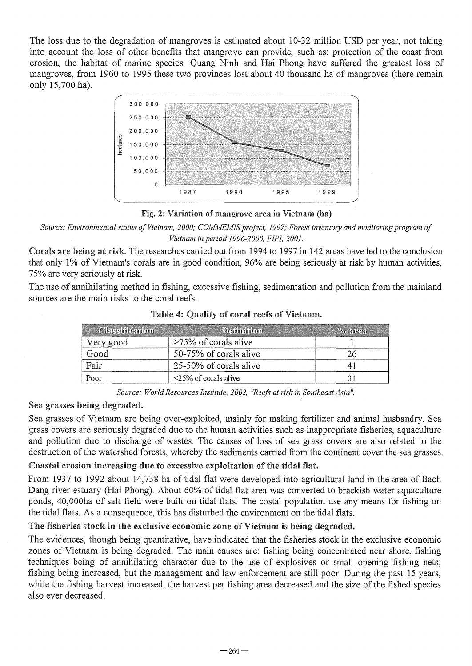The loss due to the degradation of mangroves is estimated about 10-32 million USD per year, not taking into account the loss of other benefits that mangrove can provide, such as: protection of the coast from erosion, the habitat of marine species. Quang Ninh and Hai Phong have suffered the greatest loss of mangroves, from 1960 to 1995 these two provinces lost about 40 thousand ha of mangroves (there remain only 15,700 ha).



Fig. 2: Variation of mangrove area in Vietnam (ha)

*Source: Environmental status o/Vietnam, 2000; COMMEMIS project,* 1997; *Forest inventory and monitoring program 0/ Vietnam in period 1996-2000, F1PJ, 2001.* 

Corals are being at risk. The researches carried out from 1994 to 1997 in 142 areas have led to the conclusion that only 1% of Vietnam's corals are in good condition, 96% are being seriously at risk by human activities, 75% are very seriously at risk.

The use of annihilating method in fishing, excessive fishing, sedimentation and pollution from the mainland sources are the main risks to the coral reefs.

| <b>Classification</b> | Definition                 | $\frac{1}{2}$ and $\frac{1}{2}$ |
|-----------------------|----------------------------|---------------------------------|
| Very good             | >75% of corals alive       |                                 |
| 7000                  | 50-75% of corals alive     |                                 |
| Fair                  | 25-50% of corals alive     |                                 |
| Poor                  | $\leq$ 25% of corals alive |                                 |

Table 4: Quality of coral reefs of Vietnam.

*Source: World Resources Institute, 2002, "Reefs at risk in Southeast Asia".* 

## Sea grasses being degraded.

Sea grasses of Vietnam are being over-exploited, mainly for making fertilizer and animal husbandry. Sea grass covers are seriously degraded due to the human activities such as inappropriate fisheries, aquaculture and pollution due to discharge of wastes. The causes of loss of sea grass covers are also related to the destruction of the watershed forests, whereby the sediments carried from the continent cover the sea grasses.

## Coastal erosion increasing due to excessive exploitation of the tidal flat.

From 1937 to 1992 about 14,738 ha of tidal flat were developed into agricultural land in the area of Bach Dang river estuary (Hai Phong). About 60% of tidal flat area was converted to brackish water aquaculture ponds; 40,000ha of salt field were built on tidal flats, The costal population use any means for fishing on the tidal flats, As a consequence, this has disturbed the environment on the tidal flats.

## The fisheries stock in the exclusive economic zone of Vietnam is being degraded.

The evidences, though being quantitative, have indicated that the fisheries stock in the exclusive economic zones of Vietnam is being degraded. The main causes are: fishing being concentrated near shore, fishing techniques being of annihilating character due to the use of explosives or small opening fishing nets; fishing being increased, but the management and law enforcement are still poor. During the past 15 years, while the fishing harvest increased, the harvest per fishing area decreased and the size of the fished species also ever decreased.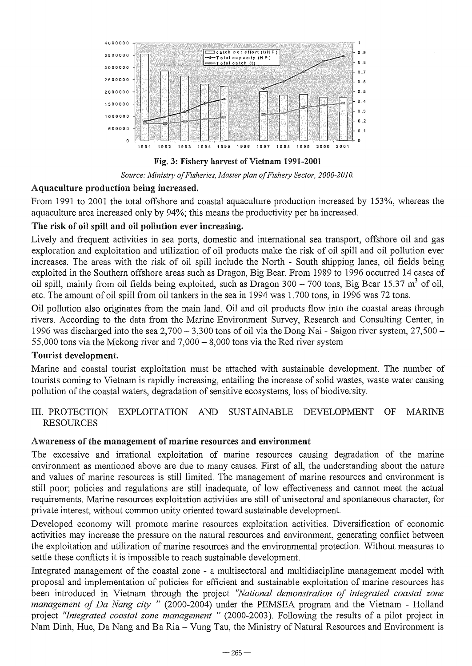

Fig. 3: Fishery harvest of Vietnam 1991-2001



## Aquaculture production being increased.

From 1991 to 2001 the total offshore and coastal aquaculture production increased by 153%, whereas the aquaculture area increased only by 94%; this means the productivity per ha increased.

# The risk of oil spill and oil pollution ever increasing.

Lively and frequent activities in sea ports, domestic and international sea transport, offshore oil and gas exploration and exploitation and utilization of oil products make the risk of oil spill and oil pollution ever increases. The areas with the risk of oil spill include the North - South shipping lanes, oil fields being exploited in the Southern offshore areas such as Dragon, Big Bear. From 1989 to 1996 occurred 14 cases of oil spill, mainly from oil fields being exploited, such as Dragon 300 - 700 tons, Big Bear 15.37  $\text{m}^3$  of oil, etc. The amount of oil spill from oil tankers in the sea in 1994 was 1.700 tons, in 1996 was 72 tons.

Oil pollution also originates from the main land. Oil and oil products flow into the coastal areas through rivers. According to the data from the Marine Environment Survey, Research and Consulting Center, in 1996 was discharged into the sea  $2,700 - 3,300$  tons of oil via the Dong Nai - Saigon river system,  $27,500 -$ 55,000 tons via the Mekong river and  $7,000 - 8,000$  tons via the Red river system

# Tourist development.

Marine and coastal tourist exploitation must be attached with sustainable development. The number of tourists coming to Vietnam is rapidly increasing, entailing the increase of solid wastes, waste water causing pollution of the coastal waters, degradation of sensitive ecosystems, loss of biodiversity.

## III. PROTECTION EXPLOITATION AND SUSTAINABLE DEVELOPMENT OF MARINE RESOURCES

## Awareness of the management of marine resources and environment

The excessive and irrational exploitation of marine resources causing degradation of the marine environment as mentioned above are due to many causes. First of all, the understanding about the nature and values of marine resources is still limited. The management of marine resources and environment is still poor; policies and regulations are still inadequate, of low effectiveness and cannot meet the actual requirements. Marine resources exploitation activities are still ofunisectoral and spontaneous character, for private interest, without common unity oriented toward sustainable development.

Developed economy will promote marine resources exploitation activities. Diversification of economic activities may increase the pressure on the natural resources and environment, generating conflict between the exploitation and utilization of marine resources and the environmental protection. Without measures to settle these conflicts it is impossible to reach sustainable development.

Integrated management of the coastal zone - a multisectoral and multidiscipline management model with proposal and implementation of policies for efficient and sustainable exploitation of marine resources has been introduced in Vietnam through the project *''National demonstration oj integrated coastal zone management oj Da Nang city* " (2000-2004) under the PEMSEA program and the Vietnam - Holland project *"Integrated coastal zone management"* (2000-2003). Following the results of a pilot project in Nam Dinh, Hue, Da Nang and Ba Ria - Vung Tau, the Ministry of Natural Resources and Environment is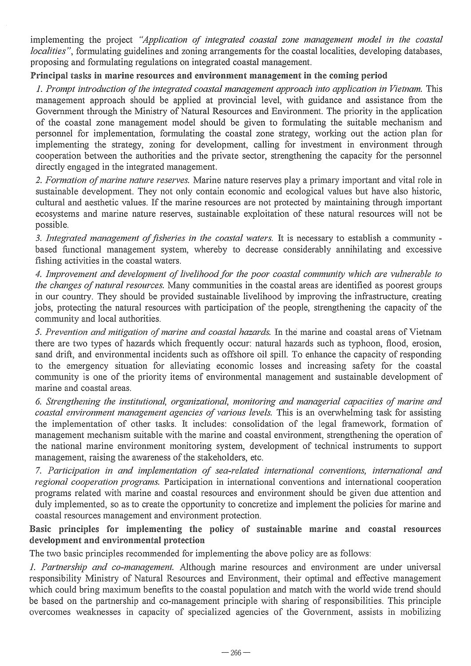implementing the project *"Application of integrated coastal zone management model in the coastal localities*", formulating guidelines and zoning arrangements for the coastal localities, developing databases, proposing and formulating regulations on integrated coastal management.

## Principal tasks in marine resources and environment management in the coming period

*1. Prompt introduction of the integrated coastal management approach into application in Vietnam.* This management approach should be applied at provincial level, with guidance and assistance from the Government through the Ministry of Natural Resources and Environment. The priority in the application of the coastal zone management model should be given to formulating the suitable mechanism and personnel for implementation, formulating the coastal zone strategy, working out the action plan for implementing the strategy, zoning for development, calling for investment in environment through cooperation between the authorities and the private sector, strengthening the capacity for the personnel directly engaged in the integrated management.

*2. Formation of marine nature reserves.* Marine nature reserves playa primary important and vital role in sustainable development. They not only contain economic and ecological values but have also historic, cultural and aesthetic values. If the marine resources are not protected by maintaining through important ecosystems and marine nature reserves, sustainable exploitation of these natural resources will not be possible.

*3. Integrated management of fisheries in the coastal waters.* It is necessary to establish a community based functional management system, whereby to decrease considerably annihilating and excessive fishing activities in the coastal waters.

*4. Improvement and development of livelihood for the poor coastal community which are vulnerable to the changes of natural resources.* Many communities in the coastal areas are identified as poorest groups in our country. They should be provided sustainable livelihood by improving the infrastructure, creating jobs, protecting the natural resources with participation of the people, strengthening the capacity of the community and local authorities.

*5. Prevention and mitigation of marine and coastal hazards.* In the marine and coastal areas of Vietnam there are two types of hazards which frequently occur: natural hazards such as typhoon, flood, erosion, sand drift, and environmental incidents such as offshore oil spill. To enhance the capacity of responding to the emergency situation for alleviating economic losses and increasing safety for the coastal community is one of the priority items of environmental management and sustainable development of marine and coastal areas.

*6. Strengthening the institutional, organizational, monitoring and managerial capacities of marine and coastal environment management agencies of various levels.* This is an overwhelming task for assisting the implementation of other tasks. It includes: consolidation of the legal framework, formation of management mechanism suitable with the marine and coastal environment, strengthening the operation of the national marine environment monitoring system, development of technical instruments to support management, raising the awareness of the stakeholders, etc.

*7. PartiCipation in and implementation of sea-related international conventions, international and regional cooperation programs.* Participation in international conventions and international cooperation programs related with marine and coastal resources and environment should be given due attention and duly implemented, so as to create the opportunity to concretize and implement the policies for marine and coastal resources management and environment protection.

## Basic principles for implementing the policy of sustainable marine and coastal resources development and environmental protection

The two basic principles recommended for implementing the above policy are as follows:

*1. Partnership and co-management.* Although marine resources and environment are under universal responsibility Ministry of Natural Resources and Environment, their optimal and effective management which could bring maximum benefits to the coastal population and match with the world wide trend should be based on the partnership and co-management principle with sharing of responsibilities. This principle overcomes weaknesses in capacity of specialized agencies of the Government, assists in mobilizing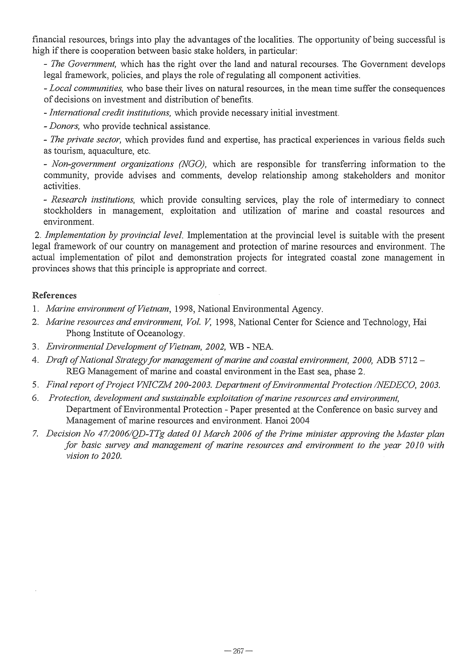financial resources, brings into play the advantages of the localities. The opportunity of being successful is high if there is cooperation between basic stake holders, in particular:

- The *Government,* which has the right over the land and natural recourses. The Government develops legal framework, policies, and plays the role of regulating all component activities.

*- Local communities,* who base their lives on natural resources, in the mean time suffer the consequences of decisions on investment and distribution of benefits.

*- International credit institutions,* which provide necessary initial investment.

*- Donors,* who provide technical assistance.

- The *private sector,* which provides fund and expertise, has practical experiences in various fields such as tourism, aquaculture, etc.

*- Non-government organizations (NGO),* which are responsible for transferring information to the community, provide advises and comments, develop relationship among stakeholders and monitor activities.

*- Research institutions,* which provide consulting services, play the role of intermediary to connect stockholders in management, exploitation and utilization of marine and coastal resources and environment.

*2. Implementation by provincial level.* Implementation at the provincial level is suitable with the present legal framework of our country on management and protection of marine resources and environment. The actual implementation of pilot and demonstration projects for integrated coastal zone management in provinces shows that this principle is appropriate and correct.

#### References

- 1. *Marine environment of Vietnam,* 1998, National Environmental Agency.
- *2. Marine resources and environment, Vol. V,* 1998, National Center for Science and Technology, Hai Phong Institute of Oceanology.
- *3. Environmental Development of Vietnam, 2002,* WB NEA.
- 4. *Draft of National Strategy for management of marine and coastal environment, 2000, ADB 5712* REG Management of marine and coastal environment in the East sea, phase 2.
- *5. Final report of Project VNICZM 200-2003. Department of Environmental Protection INEDECO, 2003.*
- *6. Protection, development and sustainable exploitation of marine resources and environment,*  Department of Environmental Protection - Paper presented at the Conference on basic survey and Management of marine resources and environment. Hanoi 2004
- *7. Decision No 47/2006/QD-TTg dated 01 March 2006 of the Prime minister approving the Master plan for basic survey and management of marine resources and environment to the year 2010 with vision to 2020.*